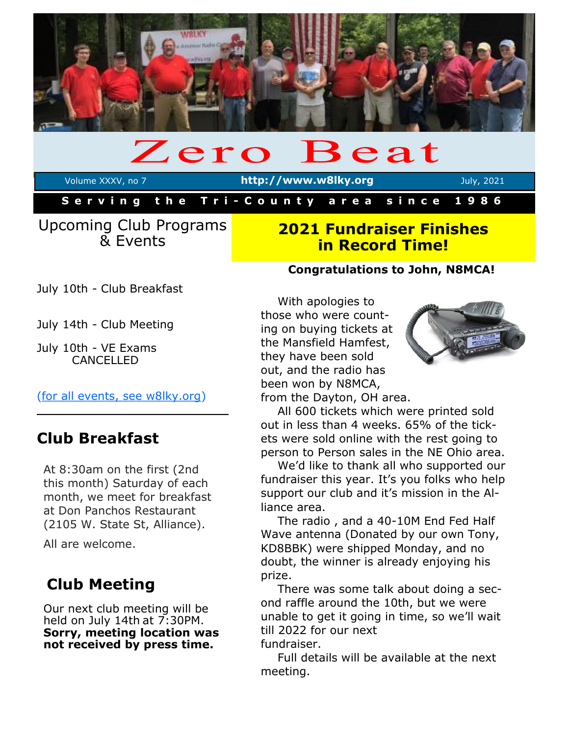

## Zero Beat

Volume XXXV, no 7 **http://www.w8lky.org** July, 2021

**S e r v i n g t h e T r i - C o u n t y a r e a s i n c e 1 9 8 6**

## Upcoming Club Programs & Events

## **2021 Fundraiser Finishes in Record Time!**

July 10th - Club Breakfast

July 14th - Club Meeting

July 10th - VE Exams CANCELLED

[\(for all events, see w8lky.org\)](http://www.w8lky.org/calendar/)

# **Club Breakfast**

At 8:30am on the first (2nd this month) Saturday of each month, we meet for breakfast at Don Panchos Restaurant (2105 W. State St, Alliance).

All are welcome.

# **Club Meeting**

Our next club meeting will be held on July 14th at 7:30PM. **Sorry, meeting location was not received by press time.** 

## **Congratulations to John, N8MCA!**

With apologies to those who were counting on buying tickets at the Mansfield Hamfest, they have been sold out, and the radio has been won by N8MCA,



from the Dayton, OH area.

All 600 tickets which were printed sold out in less than 4 weeks. 65% of the tickets were sold online with the rest going to person to Person sales in the NE Ohio area.

We'd like to thank all who supported our fundraiser this year. It's you folks who help support our club and it's mission in the Alliance area.

The radio , and a 40-10M End Fed Half Wave antenna (Donated by our own Tony, KD8BBK) were shipped Monday, and no doubt, the winner is already enjoying his prize.

There was some talk about doing a second raffle around the 10th, but we were unable to get it going in time, so we'll wait till 2022 for our next fundraiser.

Full details will be available at the next meeting.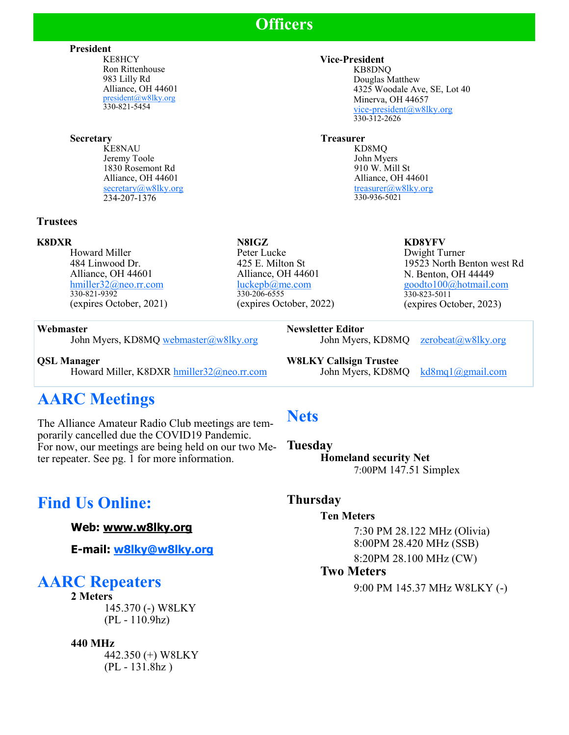# **Officers**

**President**

KE8HCY Ron Rittenhouse 983 Lilly Rd Alliance, OH 44601 [president@w8lky.org](mailto:president@w8lky.org) 330-821-5454

#### **Secretary**

KE8NAU Jeremy Toole 1830 Rosemont Rd Alliance, OH 44601 [secretary@w8lky.org](mailto:secretary@w8lky.org) 234-207-1376

#### **Trustees**

#### **K8DXR**

Howard Miller 484 Linwood Dr. Alliance, OH 44601 [hmiller32@neo.rr.com](mailto:hmiller32@neo.rr.com) 330-821-9392 (expires October, 2021)

#### **Webmaster**

John Myers, KD8MQ [webmaster@w8lky.org](mailto:webmaster@w8lky.org)

**QSL Manager** Howard Miller, K8DXR [hmiller32@neo.rr.com](mailto:hmiller32@neo.rr.com)

# **AARC Meetings**

The Alliance Amateur Radio Club meetings are temporarily cancelled due the COVID19 Pandemic. For now, our meetings are being held on our two Meter repeater. See pg. 1 for more information.

# **Find Us Online:**

**Web: [www.w8lky.org](http://www.w8lky.org )**

**E-mail: [w8lky@w8lky.org](mailto:w8lky@w8lky.org)**

## **AARC Repeaters**

**2 Meters** 145.370 (-) W8LKY (PL - 110.9hz)

#### **440 MHz**

442.350 (+) W8LKY (PL - 131.8hz )

#### **Vice-President**

KB8DNQ Douglas Matthew 4325 Woodale Ave, SE, Lot 40 Minerva, OH 44657 [vice-president@w8lky.org](mailto:vice-president@w8lky.org)  $330 - 312 - 2626$ 

#### **Treasurer**

KD8MQ John Myers 910 W. Mill St Alliance, OH 44601 [treasurer@w8lky.org](mailto:treasurer@w8lky.org) 330-936-5021

#### **KD8YFV**

Dwight Turner 19523 North Benton west Rd N. Benton, OH 44449 [goodto100@hotmail.com](mailto:goodto100@hotmail.com) 330-823-5011 (expires October, 2023)

**Newsletter Editor**  John Myers, KD8MQ [zerobeat@w8lky.org](mailto:zerobeat@w8lky.org)

**W8LKY Callsign Trustee**

John Myers, KD8MQ [kd8mq1@gmail.com](mailto:kd8mq1@gmail.com)

# **Nets**

**Tuesday Homeland security Net** 7:00PM 147.51 Simplex

## **Thursday**

#### **Ten Meters**

7:30 PM 28.122 MHz (Olivia) 8:00PM 28.420 MHz (SSB) 8:20PM 28.100 MHz (CW)

#### **Two Meters**

9:00 PM 145.37 MHz W8LKY (-)

#### **N8IGZ** Peter Lucke 425 E. Milton St Alliance, OH 44601 [luckepb@me.com](mailto:luckepb@me.com) 330-206-6555 (expires October, 2022)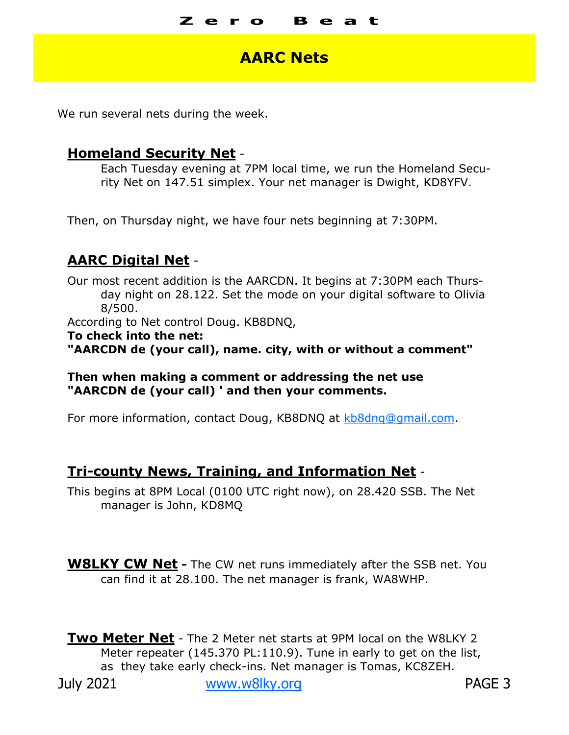#### Z e **Beat**

## **AARC Nets**

We run several nets during the week.

### **Homeland Security Net** -

Each Tuesday evening at 7PM local time, we run the Homeland Security Net on 147.51 simplex. Your net manager is Dwight, KD8YFV.

Then, on Thursday night, we have four nets beginning at 7:30PM.

## **AARC Digital Net** -

Our most recent addition is the AARCDN. It begins at 7:30PM each Thursday night on 28.122. Set the mode on your digital software to Olivia 8/500. According to Net control Doug. KB8DNQ, **To check into the net: "AARCDN de (your call), name. city, with or without a comment"**

#### **Then when making a comment or addressing the net use "AARCDN de (your call) ' and then your comments.**

For more information, contact Doug, KB8DNQ at [kb8dnq@gmail.com.](mailto:kb8dnq@gmail.com) 

## **Tri-county News, Training, and Information Net** -

This begins at 8PM Local (0100 UTC right now), on 28.420 SSB. The Net manager is John, KD8MQ

**W8LKY CW Net -** The CW net runs immediately after the SSB net. You can find it at 28.100. The net manager is frank, WA8WHP.

**Two Meter Net** - The 2 Meter net starts at 9PM local on the W8LKY 2 Meter repeater (145.370 PL:110.9). Tune in early to get on the list, as they take early check-ins. Net manager is Tomas, KC8ZEH.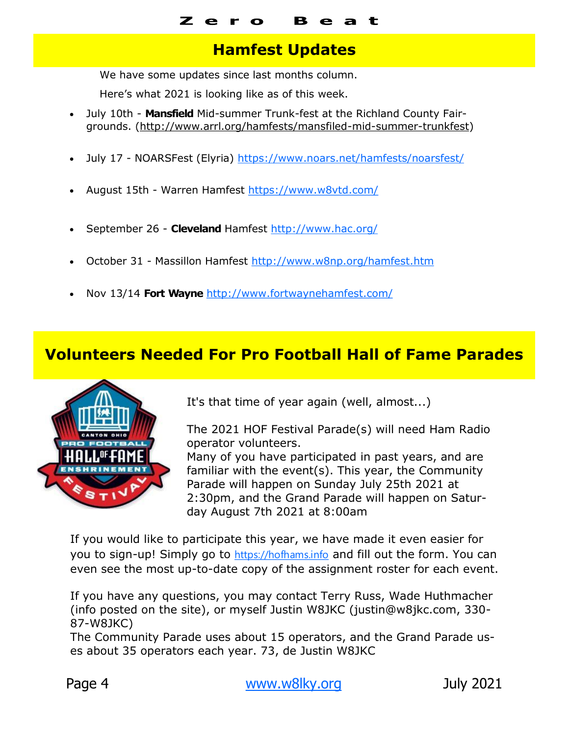# **Hamfest Updates**

We have some updates since last months column.

Here's what 2021 is looking like as of this week.

- July 10th **Mansfield** Mid-summer Trunk-fest at the Richland County Fairgrounds. [\(http://www.arrl.org/hamfests/mansfiled](http://www.arrl.org/hamfests/mansfiled-mid-summer-trunkfest)-mid-summer-trunkfest)
- July 17 NOARSFest (Elyria) <https://www.noars.net/hamfests/noarsfest/>
- August 15th Warren Hamfest<https://www.w8vtd.com/>
- September 26 **Cleveland** Hamfest [http://www.hac.org/](file:///C:/Users/admin/Documents/Affirmatech)
- October 31 Massillon Hamfest <http://www.w8np.org/hamfest.htm>
- Nov 13/14 **Fort Wayne** <http://www.fortwaynehamfest.com/>

# **Volunteers Needed For Pro Football Hall of Fame Parades**



It's that time of year again (well, almost...)

The 2021 HOF Festival Parade(s) will need Ham Radio operator volunteers.

Many of you have participated in past years, and are familiar with the event(s). This year, the Community Parade will happen on Sunday July 25th 2021 at 2:30pm, and the Grand Parade will happen on Saturday August 7th 2021 at 8:00am

If you would like to participate this year, we have made it even easier for you to sign-up! Simply go to [https://hofhams.info](https://hofhams.info/?fbclid=IwAR0D-eB9hp0oR_-GCsg1tpxi1a3jdPg-Csw00GubiRb2hjPoMoS_1qh_f-Y) and fill out the form. You can even see the most up-to-date copy of the assignment roster for each event.

If you have any questions, you may contact Terry Russ, Wade Huthmacher (info posted on the site), or myself Justin W8JKC (justin@w8jkc.com, 330- 87-W8JKC)

The Community Parade uses about 15 operators, and the Grand Parade uses about 35 operators each year. 73, de Justin W8JKC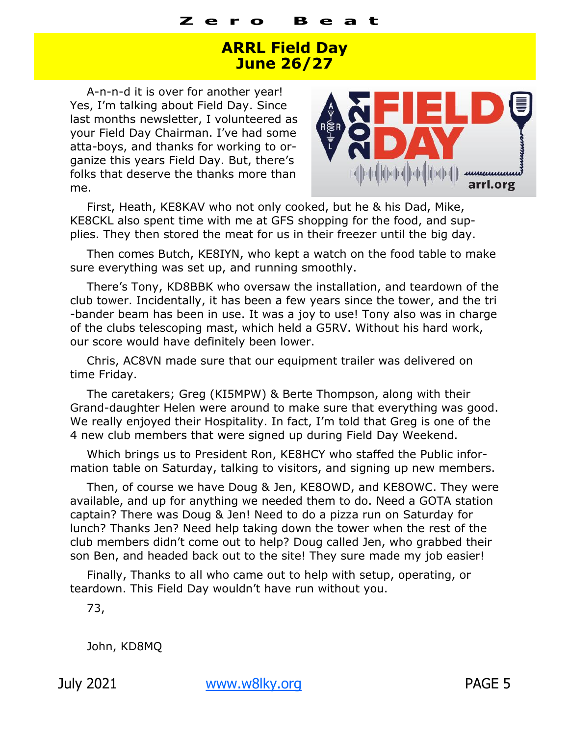# **ARRL Field Day June 26/27**

A-n-n-d it is over for another year! Yes, I'm talking about Field Day. Since last months newsletter, I volunteered as your Field Day Chairman. I've had some atta-boys, and thanks for working to organize this years Field Day. But, there's folks that deserve the thanks more than me.



First, Heath, KE8KAV who not only cooked, but he & his Dad, Mike, KE8CKL also spent time with me at GFS shopping for the food, and supplies. They then stored the meat for us in their freezer until the big day.

Then comes Butch, KE8IYN, who kept a watch on the food table to make sure everything was set up, and running smoothly.

There's Tony, KD8BBK who oversaw the installation, and teardown of the club tower. Incidentally, it has been a few years since the tower, and the tri -bander beam has been in use. It was a joy to use! Tony also was in charge of the clubs telescoping mast, which held a G5RV. Without his hard work, our score would have definitely been lower.

Chris, AC8VN made sure that our equipment trailer was delivered on time Friday.

The caretakers; Greg (KI5MPW) & Berte Thompson, along with their Grand-daughter Helen were around to make sure that everything was good. We really enjoyed their Hospitality. In fact, I'm told that Greg is one of the 4 new club members that were signed up during Field Day Weekend.

Which brings us to President Ron, KE8HCY who staffed the Public information table on Saturday, talking to visitors, and signing up new members.

Then, of course we have Doug & Jen, KE8OWD, and KE8OWC. They were available, and up for anything we needed them to do. Need a GOTA station captain? There was Doug & Jen! Need to do a pizza run on Saturday for lunch? Thanks Jen? Need help taking down the tower when the rest of the club members didn't come out to help? Doug called Jen, who grabbed their son Ben, and headed back out to the site! They sure made my job easier!

Finally, Thanks to all who came out to help with setup, operating, or teardown. This Field Day wouldn't have run without you.

73,

John, KD8MQ

July 2021 [www.w8lky.org](http://www.w8lky.org) PAGE 5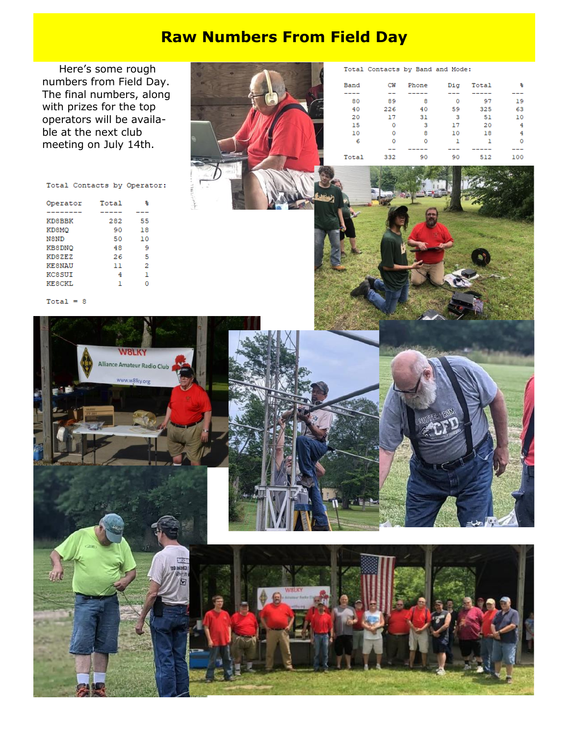# **Raw Numbers From Field Day**

Here's some rough numbers from Field Day. The final numbers, along with prizes for the top operators will be available at the next club meeting on July 14th.

Total Contacts by Band and Mode:  $\mathop{\mathtt{Di}}\nolimits{\mathtt{g}}$ Band  $CW$ Phone Total  $\perp$ ----- $-$ -----80 89  $\overline{\phantom{a}}$  8  $\overline{\phantom{0}}$ 97  $40 -$ 226 40 59 325  $\bf 31$ 20 17  $\overline{\mathbf{3}}$  $51$ 15  $\overline{\phantom{0}}$  $\overline{\mathbf{3}}$ 17 20  $10<sup>-10</sup>$  $\overline{0}$  $_{\rm 8}$  $10$  $18\,$  $\begin{matrix} & 8 \\ & 0 \\ & & -1 \end{matrix}$ 6  $\overline{\mathbf{0}}$  $\mathbf{1}$  $\mathbf{1}$  $\equiv$   $\equiv$  $-1$  $\overline{a}$  $\overline{a}$ Total 332 90 90 512

웋

 $\overline{a}$ 

19

63

 $10\,$ 

 $\,4$ 

 $\overline{4}$ 

 $\mathbf 0$ 

---

100

#### Total Contacts by Operator:

| Operator      | Total | 욱  |
|---------------|-------|----|
|               |       |    |
| KD8BBK        | 282   | 55 |
| KD8MQ         | 90    | 18 |
| N8ND          | 50    | 10 |
| KB8DNQ        | 48    | 9  |
| KD8ZEZ        | 26    | 5  |
| <b>KESNAU</b> | 11    | 2  |
| KC8SUI        | 4     | ı  |
| KESCKI.       | ٦     | n  |

#### $Total = 8$

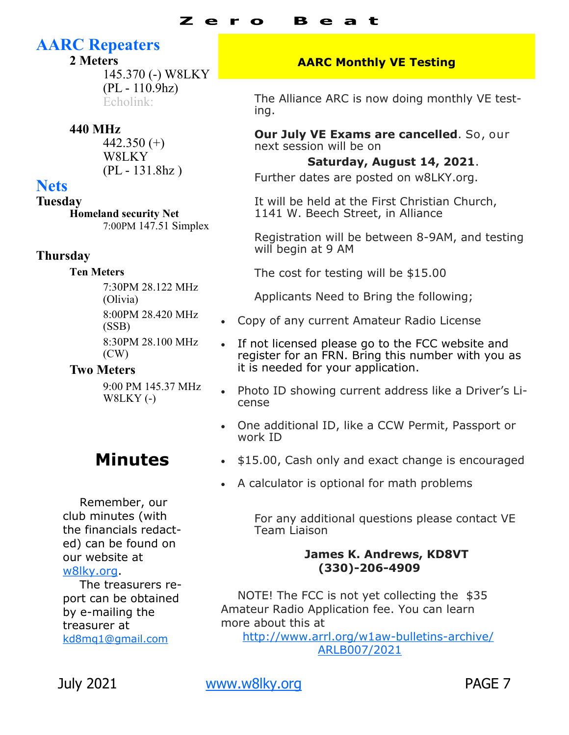#### Z e R e a t

# **AARC Repeaters**

## **2 Meters**

145.370 (-) W8LKY (PL - 110.9hz) Echolink:

## **440 MHz**

442.350 $(+)$ W8LKY (PL - 131.8hz )

## **Nets**

**Tuesday Homeland security Net** 7:00PM 147.51 Simplex

## **Thursday**

### **Ten Meters**

7:30PM 28.122 MHz (Olivia) 8:00PM 28.420 MHz (SSB) 8:30PM 28.100 MHz (CW)

## **Two Meters**

9:00 PM 145.37 MHz W8LKY (-)

# **Minutes**

Remember, our club minutes (with the financials redacted) can be found on our website at [w8lky.org.](w8lky.org)

The treasurers report can be obtained by e-mailing the treasurer at [kd8mq1@gmail.com](mailto:kd8mq1@gmail.com)

## **AARC Monthly VE Testing**

The Alliance ARC is now doing monthly VE testing.

**Our July VE Exams are cancelled**. So, our next session will be on

**Saturday, August 14, 2021**.

Further dates are posted on w8LKY.org.

It will be held at the First Christian Church, 1141 W. Beech Street, in Alliance

Registration will be between 8-9AM, and testing will begin at 9 AM

The cost for testing will be \$15.00

Applicants Need to Bring the following;

- Copy of any current Amateur Radio License
- If not licensed please go to the FCC website and register for an FRN. Bring this number with you as it is needed for your application.
- Photo ID showing current address like a Driver's License
- One additional ID, like a CCW Permit, Passport or work ID
- $\bullet$  \$15.00, Cash only and exact change is encouraged
- A calculator is optional for math problems

For any additional questions please contact VE Team Liaison

## **James K. Andrews, KD8VT (330)-206-4909**

NOTE! The FCC is not yet collecting the \$35 Amateur Radio Application fee. You can learn more about this at

[http://www.arrl.org/w1aw](http://www.arrl.org/w1aw-bulletins-archive/ARLB007/2021)-bulletins-archive/ [ARLB007/2021](http://www.arrl.org/w1aw-bulletins-archive/ARLB007/2021)

July 2021 [www.w8lky.org](http://www.w8lky.org) PAGE 7